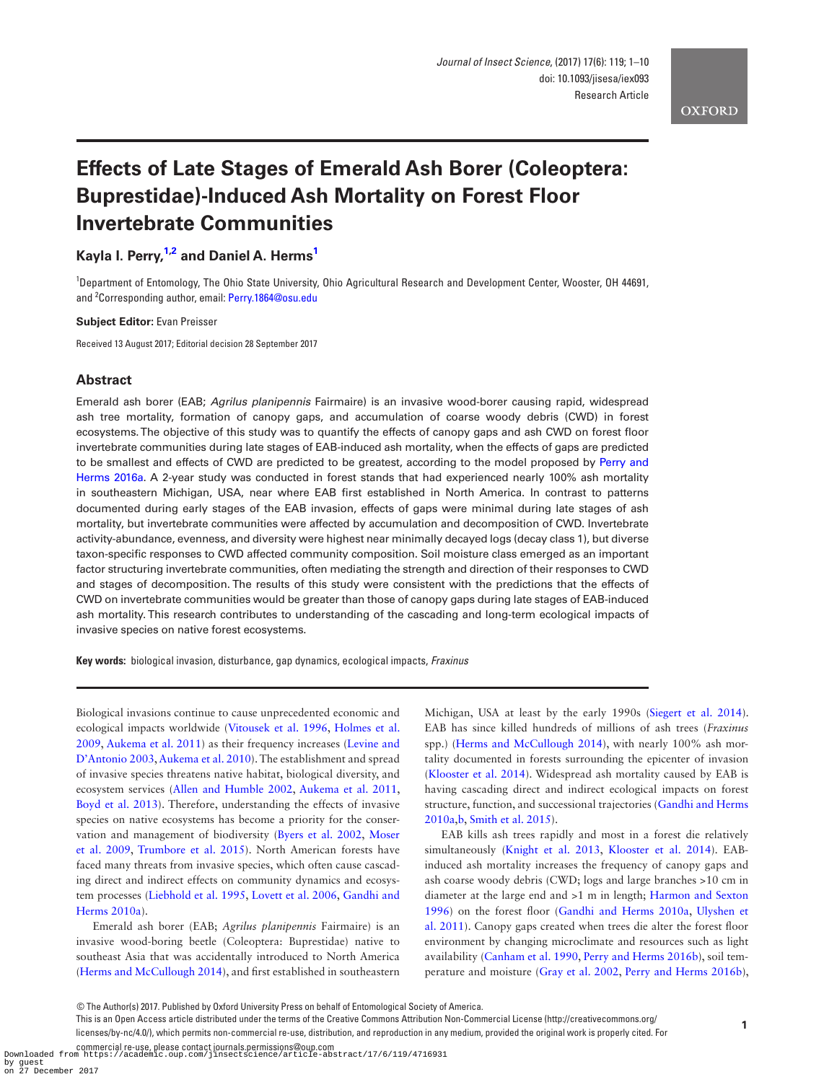**OXFORD** 

# **Effects of Late Stages of Emerald Ash Borer (Coleoptera: Buprestidae)-Induced Ash Mortality on Forest Floor Invertebrate Communities**

# **Kayla I. Perry, [1](#page-0-0),[2](#page-0-1) and Daniel A. Herm[s1](#page-0-0)**

<span id="page-0-1"></span><span id="page-0-0"></span><sup>1</sup>Department of Entomology, The Ohio State University, Ohio Agricultural Research and Development Center, Wooster, OH 44691, and <sup>2</sup> Corresponding author, email: [Perry.1864@osu.edu](mailto:Perry.1864@osu.edu?subject=)

#### **Subject Editor:** Evan Preisser

Received 13 August 2017; Editorial decision 28 September 2017

## **Abstract**

Emerald ash borer (EAB; *Agrilus planipennis* Fairmaire) is an invasive wood-borer causing rapid, widespread ash tree mortality, formation of canopy gaps, and accumulation of coarse woody debris (CWD) in forest ecosystems. The objective of this study was to quantify the effects of canopy gaps and ash CWD on forest floor invertebrate communities during late stages of EAB-induced ash mortality, when the effects of gaps are predicted to be smallest and effects of CWD are predicted to be greatest, according to the model proposed by Perry and [Herms 2016a.](#page-9-0) A 2-year study was conducted in forest stands that had experienced nearly 100% ash mortality in southeastern Michigan, USA, near where EAB first established in North America. In contrast to patterns documented during early stages of the EAB invasion, effects of gaps were minimal during late stages of ash mortality, but invertebrate communities were affected by accumulation and decomposition of CWD. Invertebrate activity-abundance, evenness, and diversity were highest near minimally decayed logs (decay class 1), but diverse taxon-specific responses to CWD affected community composition. Soil moisture class emerged as an important factor structuring invertebrate communities, often mediating the strength and direction of their responses to CWD and stages of decomposition. The results of this study were consistent with the predictions that the effects of CWD on invertebrate communities would be greater than those of canopy gaps during late stages of EAB-induced ash mortality. This research contributes to understanding of the cascading and long-term ecological impacts of invasive species on native forest ecosystems.

**Key words:** biological invasion, disturbance, gap dynamics, ecological impacts, *Fraxinus*

Biological invasions continue to cause unprecedented economic and ecological impacts worldwide ([Vitousek et al. 1996,](#page-9-1) [Holmes et al.](#page-8-0) [2009,](#page-8-0) [Aukema et al. 2011\)](#page-8-1) as their frequency increases ([Levine and](#page-8-2) [D'Antonio 2003,](#page-8-2) [Aukema et al. 2010](#page-8-3)). The establishment and spread of invasive species threatens native habitat, biological diversity, and ecosystem services [\(Allen and Humble 2002,](#page-8-4) [Aukema et al. 2011](#page-8-1), [Boyd et al. 2013](#page-8-5)). Therefore, understanding the effects of invasive species on native ecosystems has become a priority for the conservation and management of biodiversity ([Byers et al. 2002,](#page-8-6) [Moser](#page-9-2) [et al. 2009](#page-9-2), [Trumbore et al. 2015](#page-9-3)). North American forests have faced many threats from invasive species, which often cause cascading direct and indirect effects on community dynamics and ecosystem processes [\(Liebhold et al. 1995,](#page-8-7) [Lovett et al. 2006,](#page-9-4) [Gandhi and](#page-8-8) [Herms 2010a](#page-8-8)).

Emerald ash borer (EAB; *Agrilus planipennis* Fairmaire) is an invasive wood-boring beetle (Coleoptera: Buprestidae) native to southeast Asia that was accidentally introduced to North America ([Herms and McCullough 2014\)](#page-8-9), and first established in southeastern

Michigan, USA at least by the early 1990s ([Siegert et al. 2014](#page-9-5)). EAB has since killed hundreds of millions of ash trees (*Fraxinus* spp.) ([Herms and McCullough 2014\)](#page-8-9), with nearly 100% ash mortality documented in forests surrounding the epicenter of invasion ([Klooster et al. 2014\)](#page-8-10). Widespread ash mortality caused by EAB is having cascading direct and indirect ecological impacts on forest structure, function, and successional trajectories [\(Gandhi and Herms](#page-8-11) [2010a,](#page-8-11)[b,](#page-8-8) [Smith et al. 2015](#page-9-6)).

EAB kills ash trees rapidly and most in a forest die relatively simultaneously [\(Knight et al. 2013,](#page-8-12) [Klooster et al. 2014](#page-8-10)). EABinduced ash mortality increases the frequency of canopy gaps and ash coarse woody debris (CWD; logs and large branches >10 cm in diameter at the large end and >1 m in length; [Harmon and Sexton](#page-8-13) [1996\)](#page-8-13) on the forest floor ([Gandhi and Herms 2010a](#page-8-8), [Ulyshen et](#page-9-7) [al. 2011\)](#page-9-7). Canopy gaps created when trees die alter the forest floor environment by changing microclimate and resources such as light availability [\(Canham et al. 1990,](#page-8-14) [Perry and Herms 2016b\)](#page-9-8), soil temperature and moisture ([Gray et al. 2002](#page-8-15), [Perry and Herms 2016b](#page-9-8)),

This is an Open Access article distributed under the terms of the Creative Commons Attribution Non-Commercial License (http://creativecommons.org/

licenses/by-nc/4.0/), which permits non-commercial re-use, distribution, and reproduction in any medium, provided the original work is properly cited. For

by guest on 27 December 2017

<sup>©</sup> The Author(s) 2017. Published by Oxford University Press on behalf of Entomological Society of America.

commercial re-use, please contact journals.permissions@oup.com Downloaded from https://academic.oup.com/jinsectscience/article-abstract/17/6/119/4716931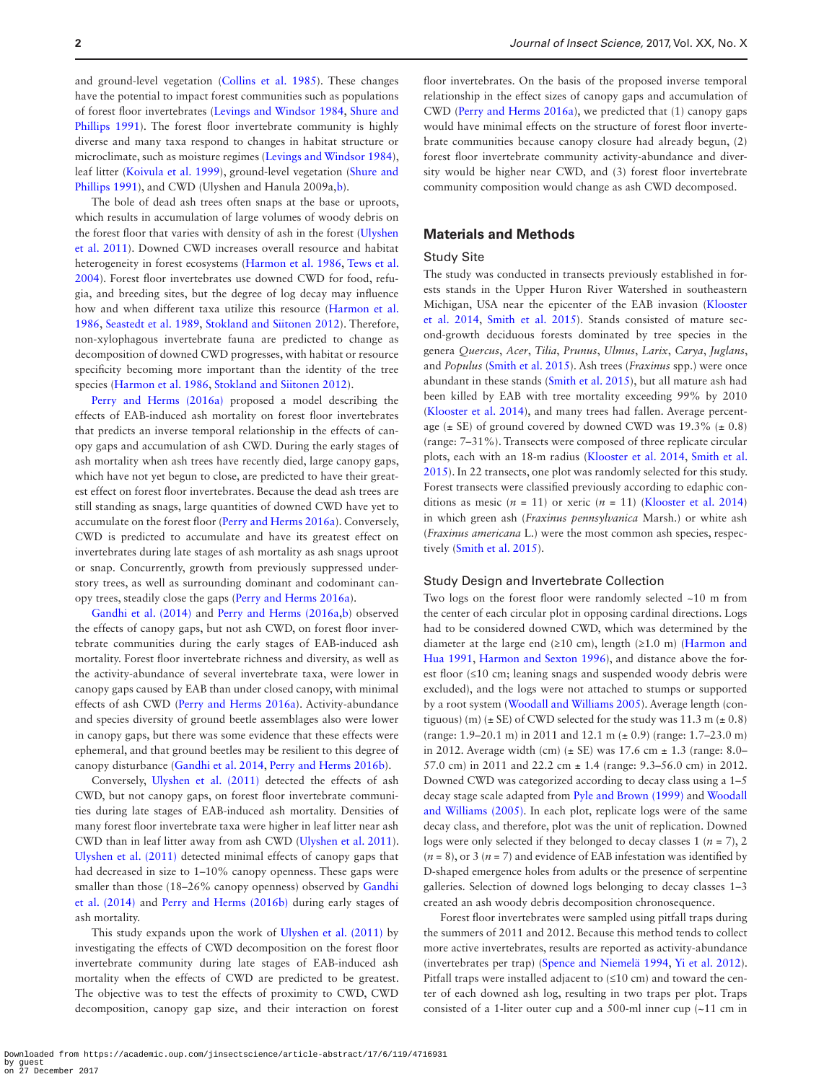and ground-level vegetation [\(Collins et al. 1985\)](#page-8-16). These changes have the potential to impact forest communities such as populations of forest floor invertebrates ([Levings and Windsor 1984,](#page-8-17) [Shure and](#page-9-9) [Phillips 1991](#page-9-9)). The forest floor invertebrate community is highly diverse and many taxa respond to changes in habitat structure or microclimate, such as moisture regimes ([Levings and Windsor 1984\)](#page-8-17), leaf litter [\(Koivula et al. 1999\)](#page-8-18), ground-level vegetation ([Shure and](#page-9-9) [Phillips 1991\)](#page-9-9), and CWD (Ulyshen and Hanula 2009a[,b\)](#page-9-10).

The bole of dead ash trees often snaps at the base or uproots, which results in accumulation of large volumes of woody debris on the forest floor that varies with density of ash in the forest ([Ulyshen](#page-9-7) [et al. 2011](#page-9-7)). Downed CWD increases overall resource and habitat heterogeneity in forest ecosystems [\(Harmon et al. 1986,](#page-8-19) [Tews et al.](#page-9-11) [2004\)](#page-9-11). Forest floor invertebrates use downed CWD for food, refugia, and breeding sites, but the degree of log decay may influence how and when different taxa utilize this resource ([Harmon et al.](#page-8-19) [1986,](#page-8-19) [Seastedt et al. 1989](#page-9-12), [Stokland and Siitonen 2012\)](#page-9-13). Therefore, non-xylophagous invertebrate fauna are predicted to change as decomposition of downed CWD progresses, with habitat or resource specificity becoming more important than the identity of the tree species ([Harmon et al. 1986,](#page-8-19) [Stokland and Siitonen 2012\)](#page-9-13).

[Perry and Herms \(2016a\)](#page-9-0) proposed a model describing the effects of EAB-induced ash mortality on forest floor invertebrates that predicts an inverse temporal relationship in the effects of canopy gaps and accumulation of ash CWD. During the early stages of ash mortality when ash trees have recently died, large canopy gaps, which have not yet begun to close, are predicted to have their greatest effect on forest floor invertebrates. Because the dead ash trees are still standing as snags, large quantities of downed CWD have yet to accumulate on the forest floor ([Perry and Herms 2016a](#page-9-0)). Conversely, CWD is predicted to accumulate and have its greatest effect on invertebrates during late stages of ash mortality as ash snags uproot or snap. Concurrently, growth from previously suppressed understory trees, as well as surrounding dominant and codominant canopy trees, steadily close the gaps [\(Perry and Herms 2016a](#page-9-0)).

[Gandhi et al. \(2014\)](#page-8-20) and [Perry and Herms \(2016a](#page-9-8)[,b\)](#page-9-0) observed the effects of canopy gaps, but not ash CWD, on forest floor invertebrate communities during the early stages of EAB-induced ash mortality. Forest floor invertebrate richness and diversity, as well as the activity-abundance of several invertebrate taxa, were lower in canopy gaps caused by EAB than under closed canopy, with minimal effects of ash CWD [\(Perry and Herms 2016a\)](#page-9-0). Activity-abundance and species diversity of ground beetle assemblages also were lower in canopy gaps, but there was some evidence that these effects were ephemeral, and that ground beetles may be resilient to this degree of canopy disturbance [\(Gandhi et al. 2014,](#page-8-20) [Perry and Herms 2016b](#page-9-8)).

Conversely, [Ulyshen et al. \(2011\)](#page-9-7) detected the effects of ash CWD, but not canopy gaps, on forest floor invertebrate communities during late stages of EAB-induced ash mortality. Densities of many forest floor invertebrate taxa were higher in leaf litter near ash CWD than in leaf litter away from ash CWD ([Ulyshen et al. 2011\)](#page-9-7). [Ulyshen et al. \(2011\)](#page-9-7) detected minimal effects of canopy gaps that had decreased in size to 1–10% canopy openness. These gaps were smaller than those (18–26% canopy openness) observed by [Gandhi](#page-8-20) [et al. \(2014\)](#page-8-20) and [Perry and Herms \(2016b\)](#page-9-0) during early stages of ash mortality.

This study expands upon the work of [Ulyshen et al. \(2011\)](#page-9-7) by investigating the effects of CWD decomposition on the forest floor invertebrate community during late stages of EAB-induced ash mortality when the effects of CWD are predicted to be greatest. The objective was to test the effects of proximity to CWD, CWD decomposition, canopy gap size, and their interaction on forest

floor invertebrates. On the basis of the proposed inverse temporal relationship in the effect sizes of canopy gaps and accumulation of CWD [\(Perry and Herms 2016a\)](#page-9-0), we predicted that (1) canopy gaps would have minimal effects on the structure of forest floor invertebrate communities because canopy closure had already begun, (2) forest floor invertebrate community activity-abundance and diversity would be higher near CWD, and (3) forest floor invertebrate community composition would change as ash CWD decomposed.

## **Materials and Methods**

#### Study Site

The study was conducted in transects previously established in forests stands in the Upper Huron River Watershed in southeastern Michigan, USA near the epicenter of the EAB invasion ([Klooster](#page-8-10) [et al. 2014](#page-8-10), [Smith et al. 2015\)](#page-9-6). Stands consisted of mature second-growth deciduous forests dominated by tree species in the genera *Quercus*, *Acer*, *Tilia*, *Prunus*, *Ulmus*, *Larix*, *Carya*, *Juglans*, and *Populus* [\(Smith et al. 2015\)](#page-9-6). Ash trees (*Fraxinus* spp.) were once abundant in these stands ([Smith et al. 2015](#page-9-6)), but all mature ash had been killed by EAB with tree mortality exceeding 99% by 2010 ([Klooster et al. 2014\)](#page-8-10), and many trees had fallen. Average percentage ( $\pm$  SE) of ground covered by downed CWD was 19.3% ( $\pm$  0.8) (range: 7–31%). Transects were composed of three replicate circular plots, each with an 18-m radius ([Klooster et al. 2014](#page-8-10), [Smith et al.](#page-9-6) [2015](#page-9-6)). In 22 transects, one plot was randomly selected for this study. Forest transects were classified previously according to edaphic conditions as mesic  $(n = 11)$  or xeric  $(n = 11)$  (Klooster et al. 2014) in which green ash (*Fraxinus pennsylvanica* Marsh.) or white ash (*Fraxinus americana* L.) were the most common ash species, respectively ([Smith et al. 2015\)](#page-9-6).

### Study Design and Invertebrate Collection

Two logs on the forest floor were randomly selected ~10 m from the center of each circular plot in opposing cardinal directions. Logs had to be considered downed CWD, which was determined by the diameter at the large end (≥10 cm), length (≥1.0 m) [\(Harmon and](#page-8-21) [Hua 1991,](#page-8-21) [Harmon and Sexton 1996\)](#page-8-13), and distance above the forest floor (≤10 cm; leaning snags and suspended woody debris were excluded), and the logs were not attached to stumps or supported by a root system [\(Woodall and Williams 2005](#page-9-14)). Average length (contiguous) (m) ( $\pm$  SE) of CWD selected for the study was 11.3 m ( $\pm$  0.8) (range: 1.9–20.1 m) in 2011 and 12.1 m (± 0.9) (range: 1.7–23.0 m) in 2012. Average width (cm) ( $\pm$  SE) was 17.6 cm  $\pm$  1.3 (range: 8.0– 57.0 cm) in 2011 and 22.2 cm ± 1.4 (range: 9.3–56.0 cm) in 2012. Downed CWD was categorized according to decay class using a 1–5 decay stage scale adapted from [Pyle and Brown \(1999\)](#page-9-15) and [Woodall](#page-9-14) [and Williams \(2005\)](#page-9-14). In each plot, replicate logs were of the same decay class, and therefore, plot was the unit of replication. Downed logs were only selected if they belonged to decay classes  $1 (n = 7)$ , 2  $(n = 8)$ , or 3  $(n = 7)$  and evidence of EAB infestation was identified by D-shaped emergence holes from adults or the presence of serpentine galleries. Selection of downed logs belonging to decay classes 1–3 created an ash woody debris decomposition chronosequence.

Forest floor invertebrates were sampled using pitfall traps during the summers of 2011 and 2012. Because this method tends to collect more active invertebrates, results are reported as activity-abundance (invertebrates per trap) [\(Spence and Niemelä 1994](#page-9-16), [Yi et al. 2012\)](#page-9-17). Pitfall traps were installed adjacent to (≤10 cm) and toward the center of each downed ash log, resulting in two traps per plot. Traps consisted of a 1-liter outer cup and a 500-ml inner cup (~11 cm in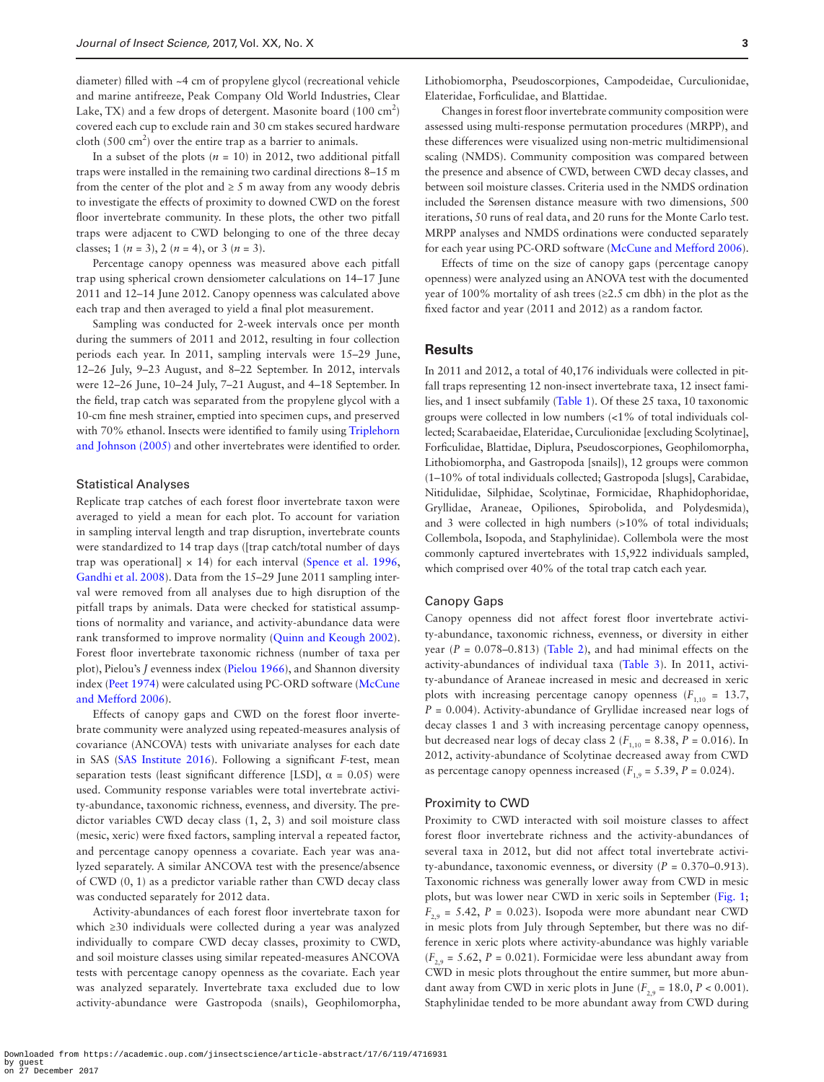diameter) filled with ~4 cm of propylene glycol (recreational vehicle and marine antifreeze, Peak Company Old World Industries, Clear Lake, TX) and a few drops of detergent. Masonite board  $(100 \text{ cm}^2)$ covered each cup to exclude rain and 30 cm stakes secured hardware cloth (500 cm<sup>2</sup>) over the entire trap as a barrier to animals.

In a subset of the plots  $(n = 10)$  in 2012, two additional pitfall traps were installed in the remaining two cardinal directions 8–15 m from the center of the plot and  $\geq 5$  m away from any woody debris to investigate the effects of proximity to downed CWD on the forest floor invertebrate community. In these plots, the other two pitfall traps were adjacent to CWD belonging to one of the three decay classes; 1 ( $n = 3$ ), 2 ( $n = 4$ ), or 3 ( $n = 3$ ).

Percentage canopy openness was measured above each pitfall trap using spherical crown densiometer calculations on 14–17 June 2011 and 12–14 June 2012. Canopy openness was calculated above each trap and then averaged to yield a final plot measurement.

Sampling was conducted for 2-week intervals once per month during the summers of 2011 and 2012, resulting in four collection periods each year. In 2011, sampling intervals were 15–29 June, 12–26 July, 9–23 August, and 8–22 September. In 2012, intervals were 12–26 June, 10–24 July, 7–21 August, and 4–18 September. In the field, trap catch was separated from the propylene glycol with a 10-cm fine mesh strainer, emptied into specimen cups, and preserved with 70% ethanol. Insects were identified to family using [Triplehorn](#page-9-18) [and Johnson \(2005\)](#page-9-18) and other invertebrates were identified to order.

## Statistical Analyses

Replicate trap catches of each forest floor invertebrate taxon were averaged to yield a mean for each plot. To account for variation in sampling interval length and trap disruption, invertebrate counts were standardized to 14 trap days ([trap catch/total number of days trap was operational]  $\times$  14) for each interval ([Spence et al. 1996](#page-9-19), [Gandhi et al. 2008](#page-8-22)). Data from the 15–29 June 2011 sampling interval were removed from all analyses due to high disruption of the pitfall traps by animals. Data were checked for statistical assumptions of normality and variance, and activity-abundance data were rank transformed to improve normality ([Quinn and Keough 2002](#page-9-20)). Forest floor invertebrate taxonomic richness (number of taxa per plot), Pielou's *J* evenness index ([Pielou 1966\)](#page-9-21), and Shannon diversity index ([Peet 1974](#page-9-22)) were calculated using PC-ORD software [\(McCune](#page-9-23) [and Mefford 2006](#page-9-23)).

Effects of canopy gaps and CWD on the forest floor invertebrate community were analyzed using repeated-measures analysis of covariance (ANCOVA) tests with univariate analyses for each date in SAS [\(SAS Institute 2016](#page-9-24)). Following a significant *F*-test, mean separation tests (least significant difference [LSD],  $\alpha = 0.05$ ) were used. Community response variables were total invertebrate activity-abundance, taxonomic richness, evenness, and diversity. The predictor variables CWD decay class (1, 2, 3) and soil moisture class (mesic, xeric) were fixed factors, sampling interval a repeated factor, and percentage canopy openness a covariate. Each year was analyzed separately. A similar ANCOVA test with the presence/absence of CWD (0, 1) as a predictor variable rather than CWD decay class was conducted separately for 2012 data.

Activity-abundances of each forest floor invertebrate taxon for which ≥30 individuals were collected during a year was analyzed individually to compare CWD decay classes, proximity to CWD, and soil moisture classes using similar repeated-measures ANCOVA tests with percentage canopy openness as the covariate. Each year was analyzed separately. Invertebrate taxa excluded due to low activity-abundance were Gastropoda (snails), Geophilomorpha,

Lithobiomorpha, Pseudoscorpiones, Campodeidae, Curculionidae, Elateridae, Forficulidae, and Blattidae.

Changes in forest floor invertebrate community composition were assessed using multi-response permutation procedures (MRPP), and these differences were visualized using non-metric multidimensional scaling (NMDS). Community composition was compared between the presence and absence of CWD, between CWD decay classes, and between soil moisture classes. Criteria used in the NMDS ordination included the Sørensen distance measure with two dimensions, 500 iterations, 50 runs of real data, and 20 runs for the Monte Carlo test. MRPP analyses and NMDS ordinations were conducted separately for each year using PC-ORD software [\(McCune and Mefford 2006](#page-9-23)).

Effects of time on the size of canopy gaps (percentage canopy openness) were analyzed using an ANOVA test with the documented year of 100% mortality of ash trees (≥2.5 cm dbh) in the plot as the fixed factor and year (2011 and 2012) as a random factor.

## **Results**

In 2011 and 2012, a total of 40,176 individuals were collected in pitfall traps representing 12 non-insect invertebrate taxa, 12 insect families, and 1 insect subfamily [\(Table 1](#page-3-0)). Of these 25 taxa, 10 taxonomic groups were collected in low numbers (<1% of total individuals collected; Scarabaeidae, Elateridae, Curculionidae [excluding Scolytinae], Forficulidae, Blattidae, Diplura, Pseudoscorpiones, Geophilomorpha, Lithobiomorpha, and Gastropoda [snails]), 12 groups were common (1–10% of total individuals collected; Gastropoda [slugs], Carabidae, Nitidulidae, Silphidae, Scolytinae, Formicidae, Rhaphidophoridae, Gryllidae, Araneae, Opiliones, Spirobolida, and Polydesmida), and 3 were collected in high numbers (>10% of total individuals; Collembola, Isopoda, and Staphylinidae). Collembola were the most commonly captured invertebrates with 15,922 individuals sampled, which comprised over 40% of the total trap catch each year.

#### Canopy Gaps

Canopy openness did not affect forest floor invertebrate activity-abundance, taxonomic richness, evenness, or diversity in either year  $(P = 0.078 - 0.813)$  ([Table 2](#page-3-1)), and had minimal effects on the activity-abundances of individual taxa [\(Table 3](#page-4-0)). In 2011, activity-abundance of Araneae increased in mesic and decreased in xeric plots with increasing percentage canopy openness  $(F_{1,10} = 13.7,$  $P = 0.004$ ). Activity-abundance of Gryllidae increased near logs of decay classes 1 and 3 with increasing percentage canopy openness, but decreased near logs of decay class 2 ( $F_{1,10} = 8.38$ ,  $P = 0.016$ ). In 2012, activity-abundance of Scolytinae decreased away from CWD as percentage canopy openness increased  $(F_{1,9} = 5.39, P = 0.024)$ .

#### Proximity to CWD

Proximity to CWD interacted with soil moisture classes to affect forest floor invertebrate richness and the activity-abundances of several taxa in 2012, but did not affect total invertebrate activity-abundance, taxonomic evenness, or diversity (*P* = 0.370–0.913). Taxonomic richness was generally lower away from CWD in mesic plots, but was lower near CWD in xeric soils in September ([Fig. 1;](#page-5-0)  $F_{2,9} = 5.42$ ,  $P = 0.023$ ). Isopoda were more abundant near CWD in mesic plots from July through September, but there was no difference in xeric plots where activity-abundance was highly variable  $(F_{29} = 5.62, P = 0.021)$ . Formicidae were less abundant away from CWD in mesic plots throughout the entire summer, but more abundant away from CWD in xeric plots in June  $(F_{2,9} = 18.0, P < 0.001)$ . Staphylinidae tended to be more abundant away from CWD during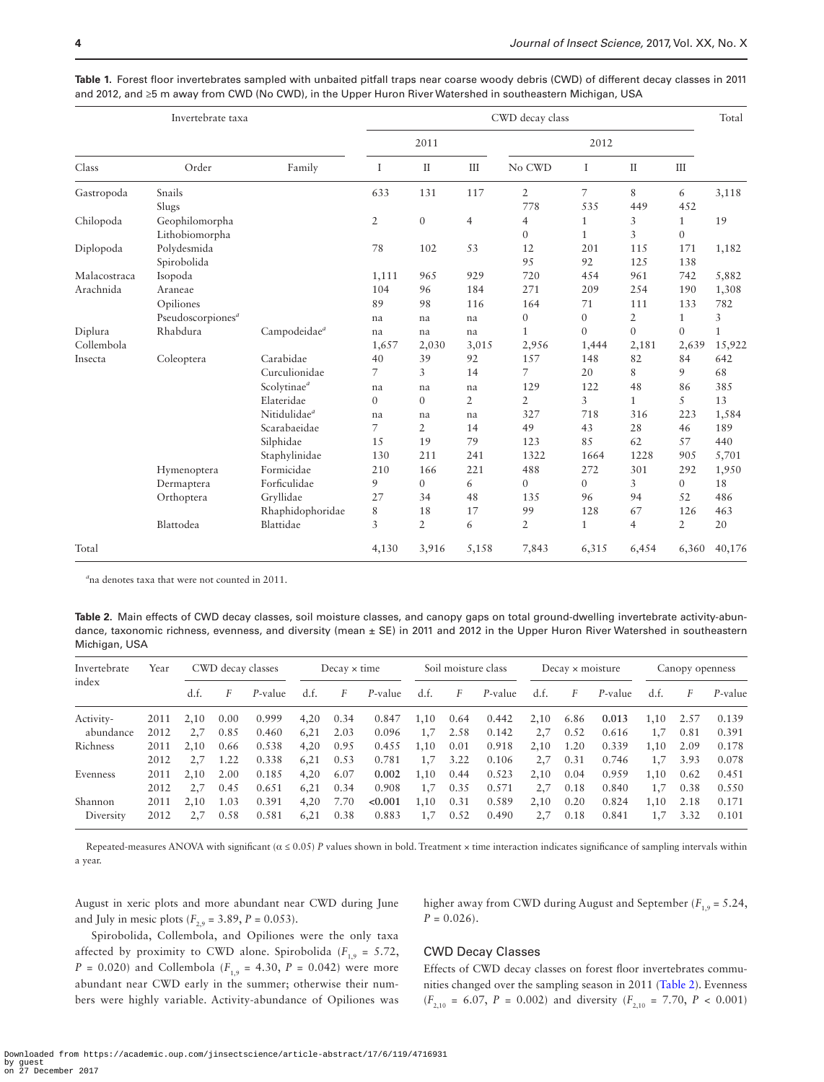|              | Invertebrate taxa             | CWD decay class          |                |                |                |                  |                |              |                |        |  |  |
|--------------|-------------------------------|--------------------------|----------------|----------------|----------------|------------------|----------------|--------------|----------------|--------|--|--|
|              |                               |                          |                | 2011           |                |                  |                |              |                |        |  |  |
| Class        | Order                         | Family                   | I              | $\rm II$       | Ш              | No CWD           | Ι              | $\mathbf{I}$ | Ш              |        |  |  |
| Gastropoda   | Snails                        |                          | 633            | 131            | 117            | $\overline{2}$   | $\overline{7}$ | 8            | 6              | 3,118  |  |  |
|              | Slugs                         |                          |                |                |                | 778              | 535            | 449          | 452            |        |  |  |
| Chilopoda    | Geophilomorpha                |                          | $\mathfrak{2}$ | $\mathbf{0}$   | $\overline{4}$ | $\overline{4}$   | 1              | 3            | $\mathbf{1}$   | 19     |  |  |
|              | Lithobiomorpha                |                          |                |                |                | $\mathbf{0}$     | $\mathbf{1}$   | 3            | $\theta$       |        |  |  |
| Diplopoda    | Polydesmida                   |                          | 78             | 102            | 53             | 12               | 201            | 115          | 171            | 1,182  |  |  |
|              | Spirobolida                   |                          |                |                |                | 95               | 92             | 125          | 138            |        |  |  |
| Malacostraca | Isopoda                       |                          | 1,111          | 965            | 929            | 720              | 454            | 961          | 742            | 5,882  |  |  |
| Arachnida    | Araneae                       |                          | 104            | 96             | 184            | 271              | 209            | 254          | 190            | 1,308  |  |  |
|              | Opiliones                     |                          | 89             | 98             | 116            | 164              | 71             | 111          | 133            | 782    |  |  |
|              | Pseudoscorpiones <sup>a</sup> |                          | na             | na             | na             | $\boldsymbol{0}$ | $\overline{0}$ | 2            | $\mathbf{1}$   | 3      |  |  |
| Diplura      | Rhabdura                      | Campodeidae <sup>a</sup> | na             | na             | na             | $\mathbf{1}$     | $\Omega$       | $\mathbf{0}$ | $\mathbf{0}$   | 1      |  |  |
| Collembola   |                               |                          | 1,657          | 2,030          | 3,015          | 2,956            | 1,444          | 2,181        | 2,639          | 15,922 |  |  |
| Insecta      | Coleoptera                    | Carabidae                | 40             | 39             | 92             | 157              | 148            | 82           | 84             | 642    |  |  |
|              |                               | Curculionidae            | 7              | 3              | 14             | 7                | 20             | 8            | 9              | 68     |  |  |
|              |                               | Scolytinae <sup>a</sup>  | na             | na             | na             | 129              | 122            | 48           | 86             | 385    |  |  |
|              |                               | Elateridae               | $\overline{0}$ | $\mathbf{0}$   | $\overline{2}$ | $\overline{2}$   | 3              | $\mathbf{1}$ | 5              | 13     |  |  |
|              |                               | Nitidulidae <sup>a</sup> | na             | na             | na             | 327              | 718            | 316          | 223            | 1,584  |  |  |
|              |                               | Scarabaeidae             | 7              | $\overline{2}$ | 14             | 49               | 43             | 28           | 46             | 189    |  |  |
|              |                               | Silphidae                | 15             | 19             | 79             | 123              | 85             | 62           | 57             | 440    |  |  |
|              |                               | Staphylinidae            | 130            | 211            | 241            | 1322             | 1664           | 1228         | 905            | 5,701  |  |  |
|              | Hymenoptera                   | Formicidae               | 210            | 166            | 221            | 488              | 272            | 301          | 292            | 1,950  |  |  |
|              | Dermaptera                    | Forficulidae             | 9              | $\overline{0}$ | 6              | $\mathbf{0}$     | $\mathbf{0}$   | 3            | $\mathbf{0}$   | 18     |  |  |
|              | Orthoptera                    | Gryllidae                | 27             | 34             | 48             | 135              | 96             | 94           | 52             | 486    |  |  |
|              |                               | Rhaphidophoridae         | 8              | 18             | 17             | 99               | 128            | 67           | 126            | 463    |  |  |
|              | Blattodea                     | Blattidae                | 3              | $\overline{2}$ | 6              | $\overline{2}$   | $\mathbf{1}$   | 4            | $\overline{2}$ | 20     |  |  |
| Total        |                               |                          | 4,130          | 3,916          | 5,158          | 7,843            | 6,315          | 6,454        | 6,360          | 40,176 |  |  |

<span id="page-3-0"></span>**Table 1.** Forest floor invertebrates sampled with unbaited pitfall traps near coarse woody debris (CWD) of different decay classes in 2011 and 2012, and ≥5 m away from CWD (No CWD), in the Upper Huron River Watershed in southeastern Michigan, USA

*a* na denotes taxa that were not counted in 2011.

<span id="page-3-1"></span>**Table 2.** Main effects of CWD decay classes, soil moisture classes, and canopy gaps on total ground-dwelling invertebrate activity-abundance, taxonomic richness, evenness, and diversity (mean ± SE) in 2011 and 2012 in the Upper Huron River Watershed in southeastern Michigan, USA

| Invertebrate<br>index | Year | CWD decay classes |      |            | Decay $\times$ time |      |         | Soil moisture class |      |         | Decay $\times$ moisture |      |         | Canopy openness |      |         |
|-----------------------|------|-------------------|------|------------|---------------------|------|---------|---------------------|------|---------|-------------------------|------|---------|-----------------|------|---------|
|                       |      | d.f.              | F    | $P$ -value | d.f.                | F    | P-value | d.f.                | F    | P-value | d.f.                    | F    | P-value | d.f.            | F    | P-value |
| Activity-             | 2011 | 2.10              | 0.00 | 0.999      | 4,20                | 0.34 | 0.847   | 1.10                | 0.64 | 0.442   | 2,10                    | 6.86 | 0.013   | 1,10            | 2.57 | 0.139   |
| abundance             | 2012 | 2.7               | 0.85 | 0.460      | 6,21                | 2.03 | 0.096   | 1,7                 | 2.58 | 0.142   | 2,7                     | 0.52 | 0.616   | 1,7             | 0.81 | 0.391   |
| Richness              | 2011 | 2.10              | 0.66 | 0.538      | 4,20                | 0.95 | 0.455   | 1.10                | 0.01 | 0.918   | 2,10                    | 1.20 | 0.339   | 1.10            | 2.09 | 0.178   |
|                       | 2012 | 2.7               | 1.22 | 0.338      | 6.21                | 0.53 | 0.781   | 1.7                 | 3.22 | 0.106   | 2.7                     | 0.31 | 0.746   | 1.7             | 3.93 | 0.078   |
| Evenness              | 2011 | 2.10              | 2.00 | 0.185      | 4,20                | 6.07 | 0.002   | 1.10                | 0.44 | 0.523   | 2,10                    | 0.04 | 0.959   | 1.10            | 0.62 | 0.451   |
|                       | 2012 | 2.7               | 0.45 | 0.651      | 6.21                | 0.34 | 0.908   | 1.7                 | 0.35 | 0.571   | 2.7                     | 0.18 | 0.840   | 1.7             | 0.38 | 0.550   |
| Shannon               | 2011 | 2.10              | 1.03 | 0.391      | 4,20                | 7.70 | < 0.001 | 1,10                | 0.31 | 0.589   | 2,10                    | 0.20 | 0.824   | 1,10            | 2.18 | 0.171   |
| Diversity             | 2012 |                   | 0.58 | 0.581      | 6,21                | 0.38 | 0.883   | 1,7                 | 0.52 | 0.490   | 2.7                     | 0.18 | 0.841   | 1.7             | 3.32 | 0.101   |

Repeated-measures ANOVA with significant ( $\alpha \le 0.05$ ) *P* values shown in bold. Treatment × time interaction indicates significance of sampling intervals within a year.

August in xeric plots and more abundant near CWD during June and July in mesic plots  $(F_{2,9} = 3.89, P = 0.053)$ .

higher away from CWD during August and September ( $F_{1,9} = 5.24$ ,  $P = 0.026$ .

Spirobolida, Collembola, and Opiliones were the only taxa affected by proximity to CWD alone. Spirobolida ( $F_{1,9} = 5.72$ , *P* = 0.020) and Collembola ( $F_{1,9}$  = 4.30, *P* = 0.042) were more abundant near CWD early in the summer; otherwise their numbers were highly variable. Activity-abundance of Opiliones was

## CWD Decay Classes

Effects of CWD decay classes on forest floor invertebrates communities changed over the sampling season in 2011 ([Table 2](#page-3-1)). Evenness  $(F_{2,10} = 6.07, P = 0.002)$  and diversity  $(F_{2,10} = 7.70, P < 0.001)$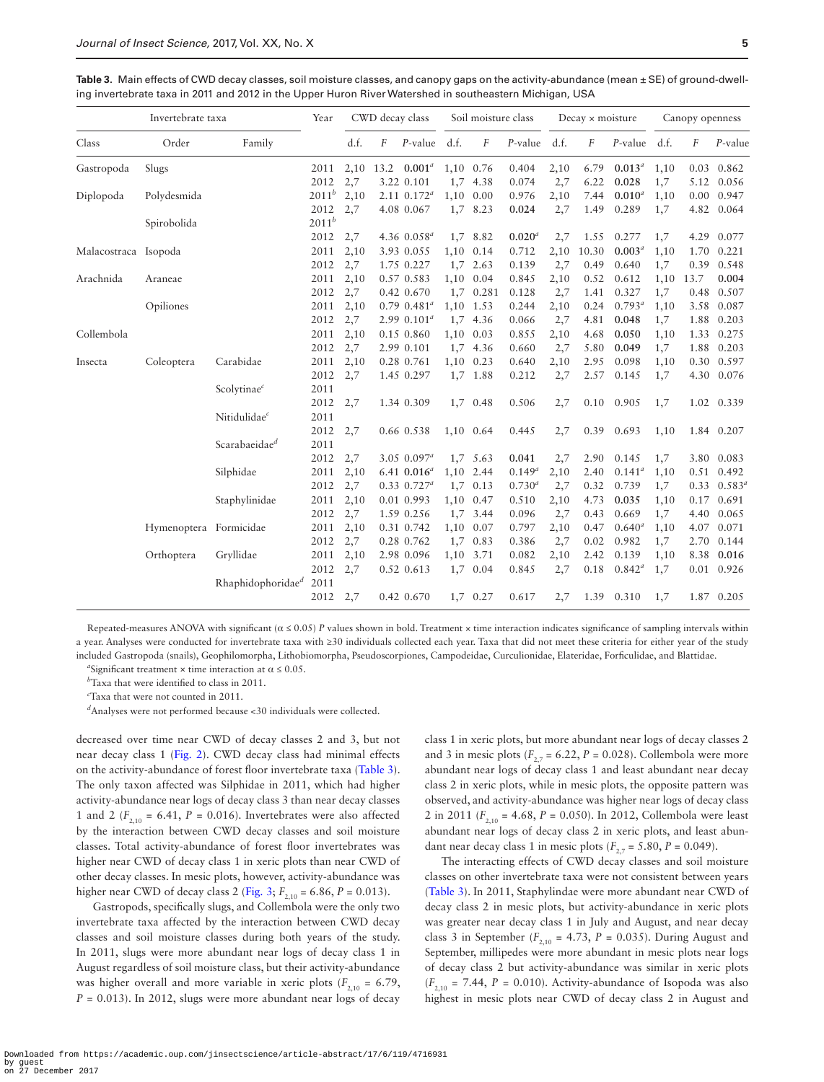<span id="page-4-0"></span>

| Invertebrate taxa    |                        |                               | Year       | CWD decay class |           |                    | Soil moisture class |            |             | Decay $\times$ moisture |       |             | Canopy openness |      |                      |
|----------------------|------------------------|-------------------------------|------------|-----------------|-----------|--------------------|---------------------|------------|-------------|-------------------------|-------|-------------|-----------------|------|----------------------|
| Class                | Order                  | Family                        |            | d.f.            | $\cal F$  | $P$ -value         | d.f.                | F          | $P$ -value  | d.f.                    | F     | P-value     | d.f.            | F    | P-value              |
| Gastropoda           | Slugs                  |                               | 2011       |                 | 2,10 13.2 | $0.001^{a}$        | 1,10 0.76           |            | 0.404       | 2,10                    | 6.79  | $0.013^{a}$ | 1,10            |      | $0.03$ $0.862$       |
|                      |                        |                               | 2012       | 2,7             |           | 3.22 0.101         |                     | 1,7 4.38   | 0.074       | 2,7                     | 6.22  | 0.028       | 1,7             |      | 5.12 0.056           |
| Diplopoda            | Polydesmida            |                               | $2011^{b}$ | 2,10            |           | $2.11 \ \ 0.172^a$ | 1,10                | 0.00       | 0.976       | 2,10                    | 7.44  | $0.010^a$   | 1,10            |      | $0.00 \quad 0.947$   |
|                      |                        |                               | 2012       | 2,7             |           | 4.08 0.067         | 1,7                 | 8.23       | 0.024       | 2,7                     | 1.49  | 0.289       | $1,\!7$         |      | 4.82 0.064           |
|                      | Spirobolida            |                               | $2011^b$   |                 |           |                    |                     |            |             |                         |       |             |                 |      |                      |
|                      |                        |                               | 2012       | 2,7             |           | 4.36 $0.058^a$     | 1,7                 | 8.82       | $0.020^{d}$ | 2,7                     | 1.55  | 0.277       | 1,7             | 4.29 | 0.077                |
| Malacostraca Isopoda |                        |                               | 2011       | 2,10            |           | 3.93 0.055         | 1,10                | 0.14       | 0.712       | 2,10                    | 10.30 | $0.003^{d}$ | 1,10            | 1.70 | 0.221                |
|                      |                        |                               | 2012       | 2,7             |           | 1.75 0.227         | 1,7                 | 2.63       | 0.139       | 2,7                     | 0.49  | 0.640       | 1,7             | 0.39 | 0.548                |
| Arachnida            | Araneae                |                               | 2011       | 2,10            |           | 0.57 0.583         | 1,10                | 0.04       | 0.845       | 2,10                    | 0.52  | 0.612       | 1,10            | 13.7 | 0.004                |
|                      |                        |                               | 2012       | 2,7             |           | 0.42 0.670         | 1,7                 | 0.281      | 0.128       | 2,7                     | 1.41  | 0.327       | 1,7             | 0.48 | 0.507                |
|                      | Opiliones              |                               | 2011       | 2,10            |           | $0.79$ $0.481a$    | 1,10 1.53           |            | 0.244       | 2,10                    | 0.24  | $0.793^a$   | 1,10            | 3.58 | 0.087                |
|                      |                        |                               | 2012       | 2,7             |           | $2.99 0.101^a$     |                     | 1,7 4.36   | 0.066       | 2,7                     | 4.81  | 0.048       | 1,7             | 1.88 | 0.203                |
| Collembola           |                        |                               | 2011       | 2,10            |           | 0.15 0.860         | 1,10                | 0.03       | 0.855       | 2,10                    | 4.68  | 0.050       | 1,10            | 1.33 | 0.275                |
|                      |                        |                               | 2012       | 2,7             |           | 2.99 0.101         |                     | 1,7 4.36   | 0.660       | 2,7                     | 5.80  | 0.049       | 1,7             | 1.88 | 0.203                |
| Insecta              | Coleoptera             | Carabidae                     | 2011       | 2,10            |           | 0.28 0.761         | 1,10                | 0.23       | 0.640       | 2,10                    | 2.95  | 0.098       | 1,10            |      | 0.30 0.597           |
|                      |                        |                               | 2012       | 2,7             |           | 1.45 0.297         |                     | 1,7 1.88   | 0.212       | 2,7                     | 2.57  | 0.145       | 1,7             |      | 4.30 0.076           |
|                      |                        | Scolytinae <sup>c</sup>       | 2011       |                 |           |                    |                     |            |             |                         |       |             |                 |      |                      |
|                      |                        |                               | 2012       | 2,7             |           | 1.34 0.309         |                     | 1,7 0.48   | 0.506       | 2,7                     | 0.10  | 0.905       | 1,7             |      | 1.02 0.339           |
|                      |                        | Nitidulidae <sup>c</sup>      | 2011       |                 |           |                    |                     |            |             |                         |       |             |                 |      |                      |
|                      |                        |                               | 2012       | 2,7             |           | 0.66 0.538         | 1,10 0.64           |            | 0.445       | 2,7                     | 0.39  | 0.693       | 1,10            |      | 1.84 0.207           |
|                      |                        | Scarabaeidae <sup>d</sup>     | 2011       |                 |           |                    |                     |            |             |                         |       |             |                 |      |                      |
|                      |                        |                               | 2012       | 2,7             |           | 3.05 $0.097^a$     |                     | 1,7 5.63   | 0.041       | 2,7                     | 2.90  | 0.145       | 1,7             |      | 3.80 0.083           |
|                      |                        | Silphidae                     | 2011       | 2,10            |           | 6.41 $0.016^a$     | 1,10                | 2.44       | $0.149^{a}$ | 2,10                    | 2.40  | $0.141^a$   | 1,10            |      | 0.51 0.492           |
|                      |                        |                               | 2012       | 2,7             |           | $0.33$ $0.727^a$   |                     | $1,7$ 0.13 | $0.730^{a}$ | 2,7                     | 0.32  | 0.739       | 1,7             |      | $0.33 \quad 0.583^a$ |
|                      |                        | Staphylinidae                 | 2011       | 2,10            |           | 0.01 0.993         | 1,10                | 0.47       | 0.510       | 2,10                    | 4.73  | 0.035       | 1,10            |      | 0.17 0.691           |
|                      |                        |                               | 2012       | 2,7             |           | 1.59 0.256         | 1,7                 | 3.44       | 0.096       | 2,7                     | 0.43  | 0.669       | 1,7             |      | 4.40 0.065           |
|                      | Hymenoptera Formicidae |                               | 2011       | 2,10            |           | 0.31 0.742         | 1,10                | 0.07       | 0.797       | 2,10                    | 0.47  | $0.640^{a}$ | 1,10            | 4.07 | 0.071                |
|                      |                        |                               | 2012       | 2,7             |           | 0.28 0.762         | 1,7                 | 0.83       | 0.386       | 2,7                     | 0.02  | 0.982       | 1,7             | 2.70 | 0.144                |
|                      | Orthoptera             | Gryllidae                     | 2011       | 2,10            |           | 2.98 0.096         | 1,10                | 3.71       | 0.082       | 2,10                    | 2.42  | 0.139       | 1,10            |      | 8.38 0.016           |
|                      |                        |                               | 2012       | 2,7             |           | 0.52 0.613         | 1,7                 | 0.04       | 0.845       | 2,7                     | 0.18  | $0.842^a$   | 1,7             |      | $0.01$ 0.926         |
|                      |                        | Rhaphidophoridae <sup>d</sup> | 2011       |                 |           |                    |                     |            |             |                         |       |             |                 |      |                      |
|                      |                        |                               | 2012       | 2,7             |           | 0.42 0.670         |                     | 1,7 0.27   | 0.617       | 2,7                     | 1.39  | 0.310       | 1,7             |      | 1.87 0.205           |

Repeated-measures ANOVA with significant (α ≤ 0.05) *P* values shown in bold. Treatment × time interaction indicates significance of sampling intervals within a year. Analyses were conducted for invertebrate taxa with ≥30 individuals collected each year. Taxa that did not meet these criteria for either year of the study included Gastropoda (snails), Geophilomorpha, Lithobiomorpha, Pseudoscorpiones, Campodeidae, Curculionidae, Elateridae, Forficulidae, and Blattidae.

*a*Significant treatment  $\times$  time interaction at  $\alpha \leq 0.05$ .

*b* Taxa that were identified to class in 2011.

*c* Taxa that were not counted in 2011.

*d* Analyses were not performed because <30 individuals were collected.

decreased over time near CWD of decay classes 2 and 3, but not near decay class 1 ([Fig. 2](#page-5-1)). CWD decay class had minimal effects on the activity-abundance of forest floor invertebrate taxa [\(Table 3](#page-4-0)). The only taxon affected was Silphidae in 2011, which had higher activity-abundance near logs of decay class 3 than near decay classes 1 and 2 ( $F_{2,10}$  = 6.41,  $P = 0.016$ ). Invertebrates were also affected by the interaction between CWD decay classes and soil moisture classes. Total activity-abundance of forest floor invertebrates was higher near CWD of decay class 1 in xeric plots than near CWD of other decay classes. In mesic plots, however, activity-abundance was higher near CWD of decay class 2 [\(Fig. 3;](#page-6-0)  $F_{2,10} = 6.86$ ,  $P = 0.013$ ).

Gastropods, specifically slugs, and Collembola were the only two invertebrate taxa affected by the interaction between CWD decay classes and soil moisture classes during both years of the study. In 2011, slugs were more abundant near logs of decay class 1 in August regardless of soil moisture class, but their activity-abundance was higher overall and more variable in xeric plots  $(F_{2,10} = 6.79)$ ,  $P = 0.013$ ). In 2012, slugs were more abundant near logs of decay

class 1 in xeric plots, but more abundant near logs of decay classes 2 and 3 in mesic plots  $(F_{2,7} = 6.22, P = 0.028)$ . Collembola were more abundant near logs of decay class 1 and least abundant near decay class 2 in xeric plots, while in mesic plots, the opposite pattern was observed, and activity-abundance was higher near logs of decay class 2 in 2011 (*F*<sub>2,10</sub> = 4.68, *P* = 0.050). In 2012, Collembola were least abundant near logs of decay class 2 in xeric plots, and least abundant near decay class 1 in mesic plots  $(F_{2,7} = 5.80, P = 0.049)$ .

The interacting effects of CWD decay classes and soil moisture classes on other invertebrate taxa were not consistent between years ([Table 3](#page-4-0)). In 2011, Staphylindae were more abundant near CWD of decay class 2 in mesic plots, but activity-abundance in xeric plots was greater near decay class 1 in July and August, and near decay class 3 in September ( $F_{2,10}$  = 4.73,  $P = 0.035$ ). During August and September, millipedes were more abundant in mesic plots near logs of decay class 2 but activity-abundance was similar in xeric plots  $(F<sub>2.10</sub> = 7.44, P = 0.010)$ . Activity-abundance of Isopoda was also highest in mesic plots near CWD of decay class 2 in August and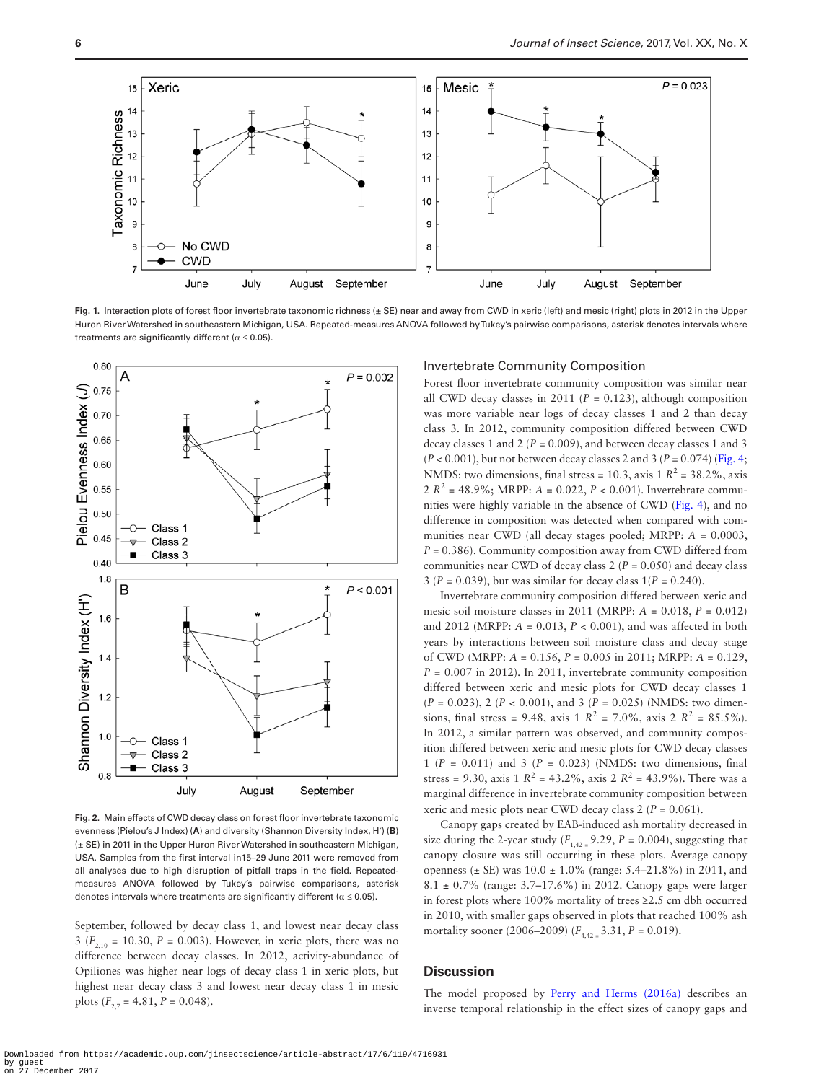

<span id="page-5-0"></span>**Fig. 1.** Interaction plots of forest floor invertebrate taxonomic richness (± SE) near and away from CWD in xeric (left) and mesic (right) plots in 2012 in the Upper Huron River Watershed in southeastern Michigan, USA. Repeated-measures ANOVA followed by Tukey's pairwise comparisons, asterisk denotes intervals where treatments are significantly different ( $\alpha \leq 0.05$ ).



<span id="page-5-1"></span>**Fig. 2.** Main effects of CWD decay class on forest floor invertebrate taxonomic evenness (Pielou's J Index) (**A**) and diversity (Shannon Diversity Index, H′) (**B**) (± SE) in 2011 in the Upper Huron River Watershed in southeastern Michigan, USA. Samples from the first interval in15–29 June 2011 were removed from all analyses due to high disruption of pitfall traps in the field. Repeatedmeasures ANOVA followed by Tukey's pairwise comparisons, asterisk denotes intervals where treatments are significantly different ( $\alpha \le 0.05$ ).

September, followed by decay class 1, and lowest near decay class 3 ( $F_{2,10}$  = 10.30,  $P = 0.003$ ). However, in xeric plots, there was no difference between decay classes. In 2012, activity-abundance of Opiliones was higher near logs of decay class 1 in xeric plots, but highest near decay class 3 and lowest near decay class 1 in mesic plots  $(F_{2,7} = 4.81, P = 0.048)$ .

#### Invertebrate Community Composition

Forest floor invertebrate community composition was similar near all CWD decay classes in 2011 ( $P = 0.123$ ), although composition was more variable near logs of decay classes 1 and 2 than decay class 3. In 2012, community composition differed between CWD decay classes 1 and 2 (*P* = 0.009), and between decay classes 1 and 3  $(P < 0.001)$ , but not between decay classes 2 and 3  $(P = 0.074)$  ([Fig. 4;](#page-6-1) NMDS: two dimensions, final stress = 10.3, axis 1  $R^2$  = 38.2%, axis 2  $R^2 = 48.9\%$ ; MRPP:  $A = 0.022$ ,  $P < 0.001$ ). Invertebrate communities were highly variable in the absence of CWD [\(Fig. 4](#page-6-1)), and no difference in composition was detected when compared with communities near CWD (all decay stages pooled; MRPP: *A* = 0.0003, *P* = 0.386). Community composition away from CWD differed from communities near CWD of decay class  $2 (P = 0.050)$  and decay class 3 ( $P = 0.039$ ), but was similar for decay class  $1/P = 0.240$ ).

Invertebrate community composition differed between xeric and mesic soil moisture classes in 2011 (MRPP: *A* = 0.018, *P* = 0.012) and 2012 (MRPP: *A* = 0.013, *P* < 0.001), and was affected in both years by interactions between soil moisture class and decay stage of CWD (MRPP: *A* = 0.156, *P* = 0.005 in 2011; MRPP: *A* = 0.129,  $P = 0.007$  in 2012). In 2011, invertebrate community composition differed between xeric and mesic plots for CWD decay classes 1 (*P* = 0.023), 2 (*P* < 0.001), and 3 (*P* = 0.025) (NMDS: two dimensions, final stress = 9.48, axis 1  $R^2$  = 7.0%, axis 2  $R^2$  = 85.5%). In 2012, a similar pattern was observed, and community composition differed between xeric and mesic plots for CWD decay classes 1 ( $P = 0.011$ ) and 3 ( $P = 0.023$ ) (NMDS: two dimensions, final stress = 9.30, axis 1  $R^2$  = 43.2%, axis 2  $R^2$  = 43.9%). There was a marginal difference in invertebrate community composition between xeric and mesic plots near CWD decay class 2 (*P* = 0.061).

Canopy gaps created by EAB-induced ash mortality decreased in size during the 2-year study  $(F_{142} = 9.29, P = 0.004)$ , suggesting that canopy closure was still occurring in these plots. Average canopy openness ( $\pm$  SE) was 10.0  $\pm$  1.0% (range: 5.4–21.8%) in 2011, and 8.1 ± 0.7% (range: 3.7–17.6%) in 2012. Canopy gaps were larger in forest plots where 100% mortality of trees ≥2.5 cm dbh occurred in 2010, with smaller gaps observed in plots that reached 100% ash mortality sooner (2006–2009) (*F*4,42 = 3.31, *P* = 0.019).

# **Discussion**

The model proposed by [Perry and Herms \(2016a\)](#page-9-0) describes an inverse temporal relationship in the effect sizes of canopy gaps and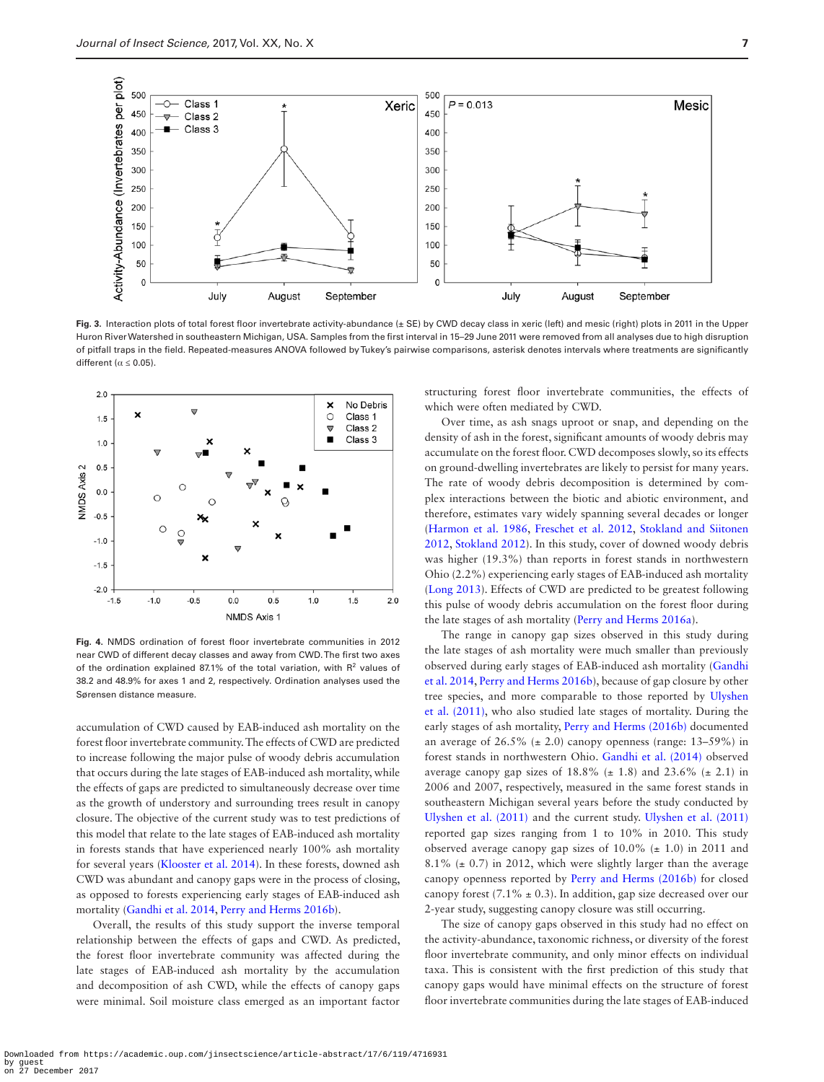

<span id="page-6-0"></span>Fig. 3. Interaction plots of total forest floor invertebrate activity-abundance (± SE) by CWD decay class in xeric (left) and mesic (right) plots in 2011 in the Upper Huron River Watershed in southeastern Michigan, USA. Samples from the first interval in 15–29 June 2011 were removed from all analyses due to high disruption of pitfall traps in the field. Repeated-measures ANOVA followed by Tukey's pairwise comparisons, asterisk denotes intervals where treatments are significantly different ( $\alpha \leq 0.05$ ).



<span id="page-6-1"></span>**Fig. 4.** NMDS ordination of forest floor invertebrate communities in 2012 near CWD of different decay classes and away from CWD. The first two axes of the ordination explained 87.1% of the total variation, with  $R<sup>2</sup>$  values of 38.2 and 48.9% for axes 1 and 2, respectively. Ordination analyses used the Sørensen distance measure.

accumulation of CWD caused by EAB-induced ash mortality on the forest floor invertebrate community. The effects of CWD are predicted to increase following the major pulse of woody debris accumulation that occurs during the late stages of EAB-induced ash mortality, while the effects of gaps are predicted to simultaneously decrease over time as the growth of understory and surrounding trees result in canopy closure. The objective of the current study was to test predictions of this model that relate to the late stages of EAB-induced ash mortality in forests stands that have experienced nearly 100% ash mortality for several years [\(Klooster et al. 2014\)](#page-8-10). In these forests, downed ash CWD was abundant and canopy gaps were in the process of closing, as opposed to forests experiencing early stages of EAB-induced ash mortality [\(Gandhi et al. 2014](#page-8-20), [Perry and Herms 2016b\)](#page-9-8).

Overall, the results of this study support the inverse temporal relationship between the effects of gaps and CWD. As predicted, the forest floor invertebrate community was affected during the late stages of EAB-induced ash mortality by the accumulation and decomposition of ash CWD, while the effects of canopy gaps were minimal. Soil moisture class emerged as an important factor

structuring forest floor invertebrate communities, the effects of which were often mediated by CWD.

Over time, as ash snags uproot or snap, and depending on the density of ash in the forest, significant amounts of woody debris may accumulate on the forest floor. CWD decomposes slowly, so its effects on ground-dwelling invertebrates are likely to persist for many years. The rate of woody debris decomposition is determined by complex interactions between the biotic and abiotic environment, and therefore, estimates vary widely spanning several decades or longer ([Harmon et al. 1986](#page-8-19), [Freschet et al. 2012](#page-8-23), [Stokland and Siitonen](#page-9-13) [2012,](#page-9-13) [Stokland 2012](#page-9-25)). In this study, cover of downed woody debris was higher (19.3%) than reports in forest stands in northwestern Ohio (2.2%) experiencing early stages of EAB-induced ash mortality ([Long 2013\)](#page-9-26). Effects of CWD are predicted to be greatest following this pulse of woody debris accumulation on the forest floor during the late stages of ash mortality [\(Perry and Herms 2016a\)](#page-9-0).

The range in canopy gap sizes observed in this study during the late stages of ash mortality were much smaller than previously observed during early stages of EAB-induced ash mortality [\(Gandhi](#page-8-20) [et al. 2014,](#page-8-20) [Perry and Herms 2016b](#page-9-8)), because of gap closure by other tree species, and more comparable to those reported by [Ulyshen](#page-9-7) [et al. \(2011\)](#page-9-7), who also studied late stages of mortality. During the early stages of ash mortality, [Perry and Herms \(2016b\)](#page-9-8) documented an average of  $26.5\%$  ( $\pm$  2.0) canopy openness (range: 13–59%) in forest stands in northwestern Ohio. [Gandhi et al. \(2014\)](#page-8-20) observed average canopy gap sizes of  $18.8\%$  ( $\pm$  1.8) and  $23.6\%$  ( $\pm$  2.1) in 2006 and 2007, respectively, measured in the same forest stands in southeastern Michigan several years before the study conducted by [Ulyshen et al. \(2011\)](#page-9-7) and the current study. [Ulyshen et al. \(2011\)](#page-9-7) reported gap sizes ranging from 1 to 10% in 2010. This study observed average canopy gap sizes of  $10.0\%$  ( $\pm$  1.0) in 2011 and 8.1% ( $\pm$  0.7) in 2012, which were slightly larger than the average canopy openness reported by [Perry and Herms \(2016b\)](#page-9-8) for closed canopy forest (7.1%  $\pm$  0.3). In addition, gap size decreased over our 2-year study, suggesting canopy closure was still occurring.

The size of canopy gaps observed in this study had no effect on the activity-abundance, taxonomic richness, or diversity of the forest floor invertebrate community, and only minor effects on individual taxa. This is consistent with the first prediction of this study that canopy gaps would have minimal effects on the structure of forest floor invertebrate communities during the late stages of EAB-induced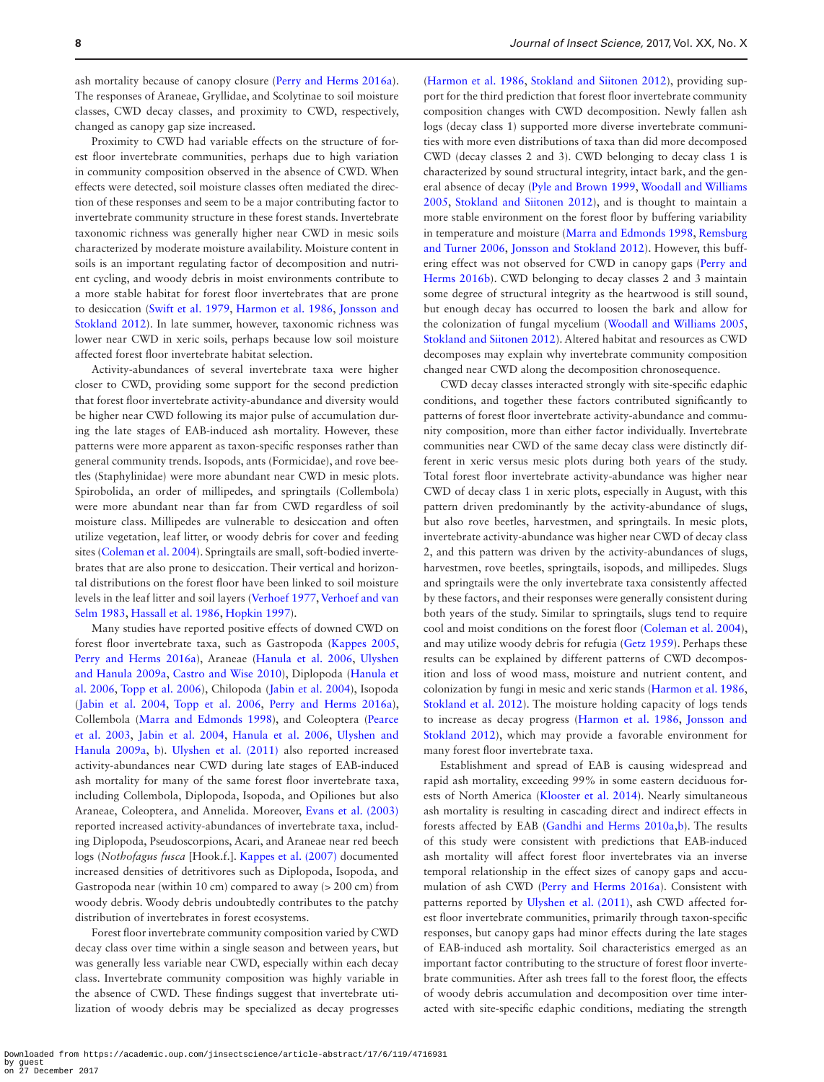ash mortality because of canopy closure ([Perry and Herms 2016a\)](#page-9-0). The responses of Araneae, Gryllidae, and Scolytinae to soil moisture classes, CWD decay classes, and proximity to CWD, respectively, changed as canopy gap size increased.

Proximity to CWD had variable effects on the structure of forest floor invertebrate communities, perhaps due to high variation in community composition observed in the absence of CWD. When effects were detected, soil moisture classes often mediated the direction of these responses and seem to be a major contributing factor to invertebrate community structure in these forest stands. Invertebrate taxonomic richness was generally higher near CWD in mesic soils characterized by moderate moisture availability. Moisture content in soils is an important regulating factor of decomposition and nutrient cycling, and woody debris in moist environments contribute to a more stable habitat for forest floor invertebrates that are prone to desiccation ([Swift et al. 1979](#page-9-27), [Harmon et al. 1986,](#page-8-19) [Jonsson and](#page-8-24) [Stokland 2012\)](#page-8-24). In late summer, however, taxonomic richness was lower near CWD in xeric soils, perhaps because low soil moisture affected forest floor invertebrate habitat selection.

Activity-abundances of several invertebrate taxa were higher closer to CWD, providing some support for the second prediction that forest floor invertebrate activity-abundance and diversity would be higher near CWD following its major pulse of accumulation during the late stages of EAB-induced ash mortality. However, these patterns were more apparent as taxon-specific responses rather than general community trends. Isopods, ants (Formicidae), and rove beetles (Staphylinidae) were more abundant near CWD in mesic plots. Spirobolida, an order of millipedes, and springtails (Collembola) were more abundant near than far from CWD regardless of soil moisture class. Millipedes are vulnerable to desiccation and often utilize vegetation, leaf litter, or woody debris for cover and feeding sites [\(Coleman et al. 2004\)](#page-8-25). Springtails are small, soft-bodied invertebrates that are also prone to desiccation. Their vertical and horizontal distributions on the forest floor have been linked to soil moisture levels in the leaf litter and soil layers ([Verhoef 1977,](#page-9-28) [Verhoef and van](#page-9-29) [Selm 1983,](#page-9-29) [Hassall et al. 1986,](#page-8-26) [Hopkin 1997\)](#page-8-27).

Many studies have reported positive effects of downed CWD on forest floor invertebrate taxa, such as Gastropoda ([Kappes 2005](#page-8-28), [Perry and Herms 2016a\)](#page-9-0), Araneae [\(Hanula et al. 2006,](#page-8-29) [Ulyshen](#page-9-10) [and Hanula 2009a](#page-9-10), [Castro and Wise 2010\)](#page-8-30), Diplopoda [\(Hanula et](#page-8-29) [al. 2006,](#page-8-29) [Topp et al. 2006](#page-9-30)), Chilopoda ([Jabin et al. 2004](#page-8-31)), Isopoda ([Jabin et al. 2004,](#page-8-31) [Topp et al. 2006,](#page-9-30) [Perry and Herms 2016a\)](#page-9-0), Collembola [\(Marra and Edmonds 1998\)](#page-9-31), and Coleoptera ([Pearce](#page-9-32) [et al. 2003](#page-9-32), [Jabin et al. 2004](#page-8-31), [Hanula et al. 2006,](#page-8-29) [Ulyshen and](#page-9-10) [Hanula 2009a,](#page-9-10) [b\)](#page-9-10). [Ulyshen et al. \(2011\)](#page-9-7) also reported increased activity-abundances near CWD during late stages of EAB-induced ash mortality for many of the same forest floor invertebrate taxa, including Collembola, Diplopoda, Isopoda, and Opiliones but also Araneae, Coleoptera, and Annelida. Moreover, [Evans et al. \(2003\)](#page-8-32) reported increased activity-abundances of invertebrate taxa, including Diplopoda, Pseudoscorpions, Acari, and Araneae near red beech logs (*Nothofagus fusca* [Hook.f.]. [Kappes et al. \(2007\)](#page-8-33) documented increased densities of detritivores such as Diplopoda, Isopoda, and Gastropoda near (within 10 cm) compared to away (> 200 cm) from woody debris. Woody debris undoubtedly contributes to the patchy distribution of invertebrates in forest ecosystems.

Forest floor invertebrate community composition varied by CWD decay class over time within a single season and between years, but was generally less variable near CWD, especially within each decay class. Invertebrate community composition was highly variable in the absence of CWD. These findings suggest that invertebrate utilization of woody debris may be specialized as decay progresses ([Harmon et al. 1986,](#page-8-19) [Stokland and Siitonen 2012\)](#page-9-13), providing support for the third prediction that forest floor invertebrate community composition changes with CWD decomposition. Newly fallen ash logs (decay class 1) supported more diverse invertebrate communities with more even distributions of taxa than did more decomposed CWD (decay classes 2 and 3). CWD belonging to decay class 1 is characterized by sound structural integrity, intact bark, and the general absence of decay [\(Pyle and Brown 1999](#page-9-15), [Woodall and Williams](#page-9-14) [2005,](#page-9-14) [Stokland and Siitonen 2012\)](#page-9-13), and is thought to maintain a more stable environment on the forest floor by buffering variability in temperature and moisture [\(Marra and Edmonds 1998,](#page-9-31) [Remsburg](#page-9-33) [and Turner 2006](#page-9-33), [Jonsson and Stokland 2012\)](#page-8-24). However, this buffering effect was not observed for CWD in canopy gaps [\(Perry and](#page-9-8) [Herms 2016b](#page-9-8)). CWD belonging to decay classes 2 and 3 maintain some degree of structural integrity as the heartwood is still sound, but enough decay has occurred to loosen the bark and allow for the colonization of fungal mycelium [\(Woodall and Williams 2005](#page-9-14), [Stokland and Siitonen 2012\)](#page-9-13). Altered habitat and resources as CWD decomposes may explain why invertebrate community composition changed near CWD along the decomposition chronosequence.

CWD decay classes interacted strongly with site-specific edaphic conditions, and together these factors contributed significantly to patterns of forest floor invertebrate activity-abundance and community composition, more than either factor individually. Invertebrate communities near CWD of the same decay class were distinctly different in xeric versus mesic plots during both years of the study. Total forest floor invertebrate activity-abundance was higher near CWD of decay class 1 in xeric plots, especially in August, with this pattern driven predominantly by the activity-abundance of slugs, but also rove beetles, harvestmen, and springtails. In mesic plots, invertebrate activity-abundance was higher near CWD of decay class 2, and this pattern was driven by the activity-abundances of slugs, harvestmen, rove beetles, springtails, isopods, and millipedes. Slugs and springtails were the only invertebrate taxa consistently affected by these factors, and their responses were generally consistent during both years of the study. Similar to springtails, slugs tend to require cool and moist conditions on the forest floor [\(Coleman et al. 2004\)](#page-8-25), and may utilize woody debris for refugia ([Getz 1959\)](#page-8-34). Perhaps these results can be explained by different patterns of CWD decomposition and loss of wood mass, moisture and nutrient content, and colonization by fungi in mesic and xeric stands ([Harmon et al. 1986](#page-8-19), [Stokland et al. 2012\)](#page-9-34). The moisture holding capacity of logs tends to increase as decay progress ([Harmon et al. 1986,](#page-8-19) [Jonsson and](#page-8-24) [Stokland 2012](#page-8-24)), which may provide a favorable environment for many forest floor invertebrate taxa.

Establishment and spread of EAB is causing widespread and rapid ash mortality, exceeding 99% in some eastern deciduous forests of North America [\(Klooster et al. 2014\)](#page-8-10). Nearly simultaneous ash mortality is resulting in cascading direct and indirect effects in forests affected by EAB ([Gandhi and Herms 2010a,](#page-8-11)[b](#page-8-8)). The results of this study were consistent with predictions that EAB-induced ash mortality will affect forest floor invertebrates via an inverse temporal relationship in the effect sizes of canopy gaps and accumulation of ash CWD [\(Perry and Herms 2016a](#page-9-0)). Consistent with patterns reported by [Ulyshen et al. \(2011\)](#page-9-7), ash CWD affected forest floor invertebrate communities, primarily through taxon-specific responses, but canopy gaps had minor effects during the late stages of EAB-induced ash mortality. Soil characteristics emerged as an important factor contributing to the structure of forest floor invertebrate communities. After ash trees fall to the forest floor, the effects of woody debris accumulation and decomposition over time interacted with site-specific edaphic conditions, mediating the strength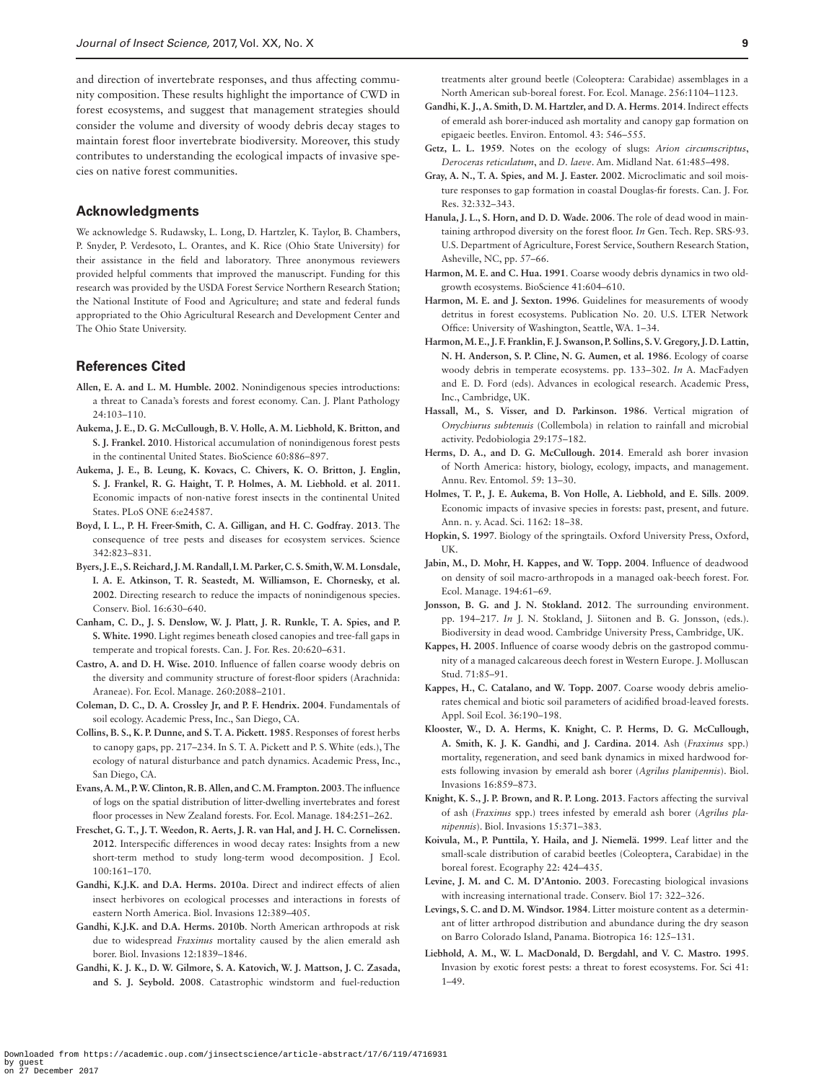and direction of invertebrate responses, and thus affecting community composition. These results highlight the importance of CWD in forest ecosystems, and suggest that management strategies should consider the volume and diversity of woody debris decay stages to maintain forest floor invertebrate biodiversity. Moreover, this study contributes to understanding the ecological impacts of invasive species on native forest communities.

#### **Acknowledgments**

We acknowledge S. Rudawsky, L. Long, D. Hartzler, K. Taylor, B. Chambers, P. Snyder, P. Verdesoto, L. Orantes, and K. Rice (Ohio State University) for their assistance in the field and laboratory. Three anonymous reviewers provided helpful comments that improved the manuscript. Funding for this research was provided by the USDA Forest Service Northern Research Station; the National Institute of Food and Agriculture; and state and federal funds appropriated to the Ohio Agricultural Research and Development Center and The Ohio State University.

## **References Cited**

- <span id="page-8-4"></span>**Allen, E. A. and L. M. Humble. 2002**. Nonindigenous species introductions: a threat to Canada's forests and forest economy. Can. J. Plant Pathology 24:103–110.
- <span id="page-8-1"></span>**Aukema, J. E., D. G. McCullough, B. V. Holle, A. M. Liebhold, K. Britton, and S. J. Frankel. 2010**. Historical accumulation of nonindigenous forest pests in the continental United States. BioScience 60:886–897.
- <span id="page-8-3"></span>**Aukema, J. E., B. Leung, K. Kovacs, C. Chivers, K. O. Britton, J. Englin, S. J. Frankel, R. G. Haight, T. P. Holmes, A. M. Liebhold. et al**. **2011**. Economic impacts of non-native forest insects in the continental United States. PLoS ONE 6:e24587.
- <span id="page-8-5"></span>**Boyd, I. L., P. H. Freer-Smith, C. A. Gilligan, and H. C. Godfray**. **2013**. The consequence of tree pests and diseases for ecosystem services. Science 342:823–831.
- <span id="page-8-6"></span>**Byers, J. E., S. Reichard, J. M. Randall, I. M. Parker, C. S. Smith, W. M. Lonsdale, I. A. E. Atkinson, T. R. Seastedt, M. Williamson, E. Chornesky, et al. 2002**. Directing research to reduce the impacts of nonindigenous species. Conserv. Biol. 16:630–640.
- <span id="page-8-14"></span>**Canham, C. D., J. S. Denslow, W. J. Platt, J. R. Runkle, T. A. Spies, and P. S. White. 1990**. Light regimes beneath closed canopies and tree-fall gaps in temperate and tropical forests. Can. J. For. Res. 20:620–631.
- <span id="page-8-30"></span>**Castro, A. and D. H. Wise. 2010**. Influence of fallen coarse woody debris on the diversity and community structure of forest-floor spiders (Arachnida: Araneae). For. Ecol. Manage. 260:2088–2101.
- <span id="page-8-25"></span>**Coleman, D. C., D. A. Crossley Jr, and P. F. Hendrix. 2004**. Fundamentals of soil ecology. Academic Press, Inc., San Diego, CA.
- <span id="page-8-16"></span>**Collins, B. S., K. P. Dunne, and S. T. A. Pickett. 1985**. Responses of forest herbs to canopy gaps, pp. 217–234. In S. T. A. Pickett and P. S. White (eds.), The ecology of natural disturbance and patch dynamics. Academic Press, Inc., San Diego, CA.
- <span id="page-8-32"></span>**Evans, A. M., P. W. Clinton, R. B. Allen, and C. M. Frampton. 2003**. The influence of logs on the spatial distribution of litter-dwelling invertebrates and forest floor processes in New Zealand forests. For. Ecol. Manage. 184:251–262.
- <span id="page-8-23"></span>**Freschet, G. T., J. T. Weedon, R. Aerts, J. R. van Hal, and J. H. C. Cornelissen. 2012**. Interspecific differences in wood decay rates: Insights from a new short-term method to study long-term wood decomposition. J Ecol. 100:161–170.
- <span id="page-8-8"></span>**Gandhi, K.J.K. and D.A. Herms. 2010a**. Direct and indirect effects of alien insect herbivores on ecological processes and interactions in forests of eastern North America. Biol. Invasions 12:389–405.
- <span id="page-8-11"></span>**Gandhi, K.J.K. and D.A. Herms. 2010b**. North American arthropods at risk due to widespread *Fraxinus* mortality caused by the alien emerald ash borer. Biol. Invasions 12:1839–1846.
- <span id="page-8-22"></span>**Gandhi, K. J. K., D. W. Gilmore, S. A. Katovich, W. J. Mattson, J. C. Zasada, and S. J. Seybold. 2008**. Catastrophic windstorm and fuel-reduction

treatments alter ground beetle (Coleoptera: Carabidae) assemblages in a North American sub-boreal forest. For. Ecol. Manage. 256:1104–1123.

- <span id="page-8-20"></span>**Gandhi, K. J., A. Smith, D. M. Hartzler, and D. A. Herms**. **2014**. Indirect effects of emerald ash borer-induced ash mortality and canopy gap formation on epigaeic beetles. Environ. Entomol. 43: 546–555.
- <span id="page-8-34"></span>**Getz, L. L. 1959**. Notes on the ecology of slugs: *Arion circumscriptus*, *Deroceras reticulatum*, and *D. laeve*. Am. Midland Nat. 61:485–498.
- <span id="page-8-15"></span>**Gray, A. N., T. A. Spies, and M. J. Easter. 2002**. Microclimatic and soil moisture responses to gap formation in coastal Douglas-fir forests. Can. J. For. Res. 32:332–343.
- <span id="page-8-29"></span>**Hanula, J. L., S. Horn, and D. D. Wade. 2006**. The role of dead wood in maintaining arthropod diversity on the forest floor. *In* Gen. Tech. Rep. SRS-93. U.S. Department of Agriculture, Forest Service, Southern Research Station, Asheville, NC, pp. 57–66.
- <span id="page-8-19"></span>**Harmon, M. E. and C. Hua. 1991**. Coarse woody debris dynamics in two oldgrowth ecosystems. BioScience 41:604–610.
- <span id="page-8-21"></span>Harmon, M. E. and J. Sexton. 1996. Guidelines for measurements of woody detritus in forest ecosystems. Publication No. 20. U.S. LTER Network Office: University of Washington, Seattle, WA. 1–34.
- <span id="page-8-13"></span>**Harmon, M. E., J. F. Franklin, F. J. Swanson, P. Sollins, S. V. Gregory, J. D. Lattin, N. H. Anderson, S. P. Cline, N. G. Aumen, et al. 1986**. Ecology of coarse woody debris in temperate ecosystems. pp. 133–302. *In* A. MacFadyen and E. D. Ford (eds). Advances in ecological research. Academic Press, Inc., Cambridge, UK.
- <span id="page-8-26"></span>**Hassall, M., S. Visser, and D. Parkinson. 1986**. Vertical migration of *Onychiurus subtenuis* (Collembola) in relation to rainfall and microbial activity. Pedobiologia 29:175–182.
- <span id="page-8-9"></span>**Herms, D. A., and D. G. McCullough. 2014**. Emerald ash borer invasion of North America: history, biology, ecology, impacts, and management. Annu. Rev. Entomol. 59: 13–30.
- <span id="page-8-0"></span>**Holmes, T. P., J. E. Aukema, B. Von Holle, A. Liebhold, and E. Sills**. **2009**. Economic impacts of invasive species in forests: past, present, and future. Ann. n. y. Acad. Sci. 1162: 18–38.
- <span id="page-8-27"></span>**Hopkin, S. 1997**. Biology of the springtails. Oxford University Press, Oxford, UK.
- <span id="page-8-31"></span>**Jabin, M., D. Mohr, H. Kappes, and W. Topp. 2004**. Influence of deadwood on density of soil macro-arthropods in a managed oak-beech forest. For. Ecol. Manage. 194:61–69.
- <span id="page-8-24"></span>**Jonsson, B. G. and J. N. Stokland. 2012**. The surrounding environment. pp. 194–217. *In* J. N. Stokland, J. Siitonen and B. G. Jonsson, (eds.). Biodiversity in dead wood. Cambridge University Press, Cambridge, UK.
- <span id="page-8-28"></span>**Kappes, H. 2005**. Influence of coarse woody debris on the gastropod community of a managed calcareous deech forest in Western Europe. J. Molluscan Stud. 71:85–91.
- <span id="page-8-33"></span>**Kappes, H., C. Catalano, and W. Topp. 2007**. Coarse woody debris ameliorates chemical and biotic soil parameters of acidified broad-leaved forests. Appl. Soil Ecol. 36:190–198.
- <span id="page-8-10"></span>**Klooster, W., D. A. Herms, K. Knight, C. P. Herms, D. G. McCullough, A. Smith, K. J. K. Gandhi, and J. Cardina. 2014**. Ash (*Fraxinus* spp.) mortality, regeneration, and seed bank dynamics in mixed hardwood forests following invasion by emerald ash borer (*Agrilus planipennis*). Biol. Invasions 16:859–873.
- <span id="page-8-12"></span>**Knight, K. S., J. P. Brown, and R. P. Long. 2013**. Factors affecting the survival of ash (*Fraxinus* spp.) trees infested by emerald ash borer (*Agrilus planipennis*). Biol. Invasions 15:371–383.
- <span id="page-8-18"></span>**Koivula, M., P. Punttila, Y. Haila, and J. Niemelä. 1999**. Leaf litter and the small-scale distribution of carabid beetles (Coleoptera, Carabidae) in the boreal forest. Ecography 22: 424–435.
- <span id="page-8-2"></span>**Levine, J. M. and C. M. D'Antonio. 2003**. Forecasting biological invasions with increasing international trade. Conserv. Biol 17: 322–326.
- <span id="page-8-17"></span>**Levings, S. C. and D. M. Windsor. 1984**. Litter moisture content as a determinant of litter arthropod distribution and abundance during the dry season on Barro Colorado Island, Panama. Biotropica 16: 125–131.
- <span id="page-8-7"></span>**Liebhold, A. M., W. L. MacDonald, D. Bergdahl, and V. C. Mastro. 1995**. Invasion by exotic forest pests: a threat to forest ecosystems. For. Sci 41: 1–49.